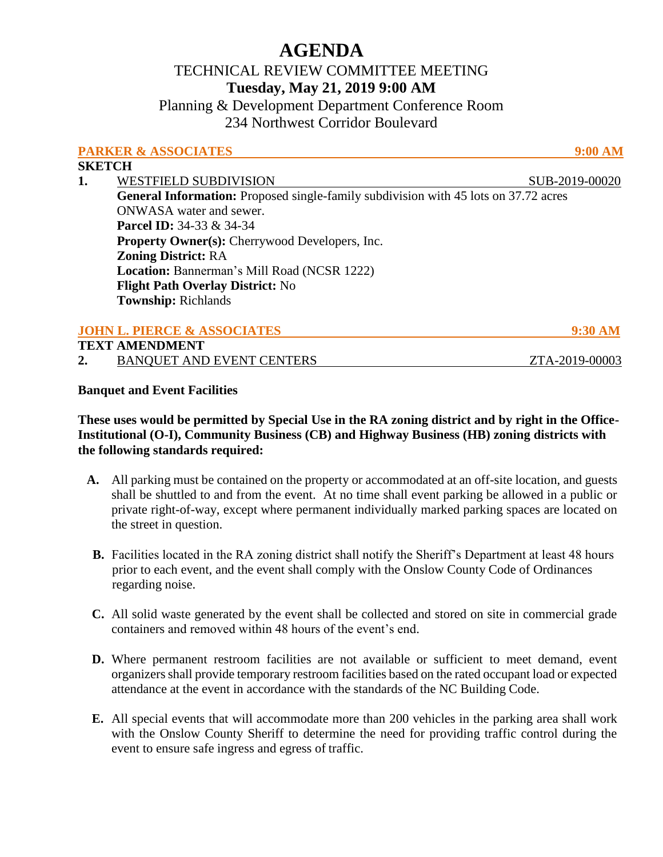# **AGENDA**

# TECHNICAL REVIEW COMMITTEE MEETING **Tuesday, May 21, 2019 9:00 AM**

Planning & Development Department Conference Room 234 Northwest Corridor Boulevard

|                       | <b>PARKER &amp; ASSOCIATES</b>                                                             | <b>9:00 AM</b> |  |
|-----------------------|--------------------------------------------------------------------------------------------|----------------|--|
| <b>SKETCH</b>         |                                                                                            |                |  |
| 1.                    | <b>WESTFIELD SUBDIVISION</b>                                                               | SUB-2019-00020 |  |
|                       | <b>General Information:</b> Proposed single-family subdivision with 45 lots on 37.72 acres |                |  |
|                       | <b>ONWASA</b> water and sewer.                                                             |                |  |
|                       | <b>Parcel ID:</b> 34-33 & 34-34                                                            |                |  |
|                       | <b>Property Owner(s):</b> Cherrywood Developers, Inc.                                      |                |  |
|                       | <b>Zoning District: RA</b>                                                                 |                |  |
|                       | <b>Location: Bannerman's Mill Road (NCSR 1222)</b>                                         |                |  |
|                       | <b>Flight Path Overlay District: No</b>                                                    |                |  |
|                       | <b>Township: Richlands</b>                                                                 |                |  |
|                       |                                                                                            |                |  |
|                       | <b>JOHN L. PIERCE &amp; ASSOCIATES</b>                                                     | 9:30 AM        |  |
| <b>TEXT AMENDMENT</b> |                                                                                            |                |  |
|                       | <b>BANQUET AND EVENT CENTERS</b>                                                           | ZTA-2019-00003 |  |

#### **Banquet and Event Facilities**

## **These uses would be permitted by Special Use in the RA zoning district and by right in the Office-Institutional (O-I), Community Business (CB) and Highway Business (HB) zoning districts with the following standards required:**

- **A.** All parking must be contained on the property or accommodated at an off-site location, and guests shall be shuttled to and from the event. At no time shall event parking be allowed in a public or private right-of-way, except where permanent individually marked parking spaces are located on the street in question.
- **B.** Facilities located in the RA zoning district shall notify the Sheriff's Department at least 48 hours prior to each event, and the event shall comply with the Onslow County Code of Ordinances regarding noise.
- **C.** All solid waste generated by the event shall be collected and stored on site in commercial grade containers and removed within 48 hours of the event's end.
- **D.** Where permanent restroom facilities are not available or sufficient to meet demand, event organizers shall provide temporary restroom facilities based on the rated occupant load or expected attendance at the event in accordance with the standards of the NC Building Code.
- **E.** All special events that will accommodate more than 200 vehicles in the parking area shall work with the Onslow County Sheriff to determine the need for providing traffic control during the event to ensure safe ingress and egress of traffic.